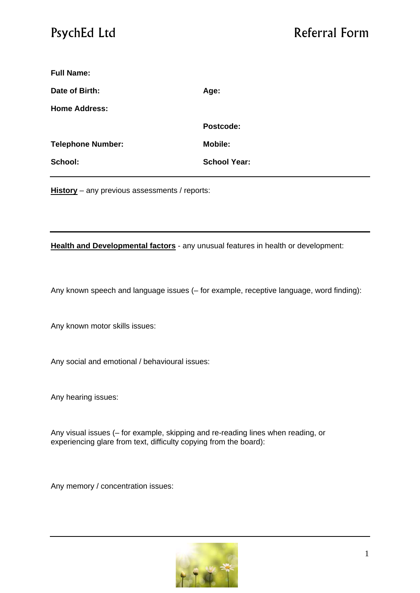| <b>Full Name:</b>        |                     |
|--------------------------|---------------------|
| Date of Birth:           | Age:                |
| <b>Home Address:</b>     |                     |
|                          | Postcode:           |
| <b>Telephone Number:</b> | <b>Mobile:</b>      |
| School:                  | <b>School Year:</b> |
|                          |                     |

**History** – any previous assessments / reports:

**Health and Developmental factors** - any unusual features in health or development:

Any known speech and language issues (– for example, receptive language, word finding):

Any known motor skills issues:

Any social and emotional / behavioural issues:

Any hearing issues:

Any visual issues (– for example, skipping and re-reading lines when reading, or experiencing glare from text, difficulty copying from the board):

Any memory / concentration issues:

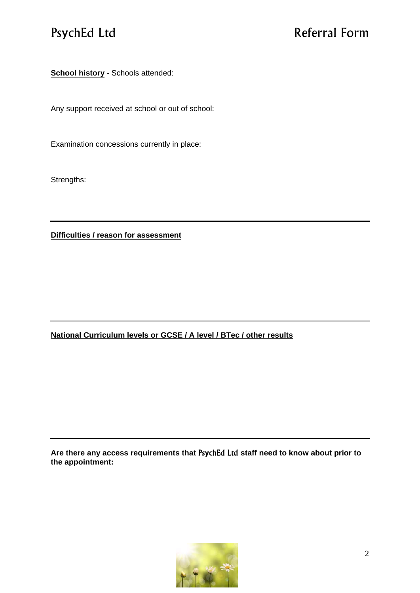

**School history** - Schools attended:

Any support received at school or out of school:

Examination concessions currently in place:

Strengths:

**Difficulties / reason for assessment**

**National Curriculum levels or GCSE / A level / BTec / other results**

**Are there any access requirements that** PsychEd Ltd **staff need to know about prior to the appointment:**